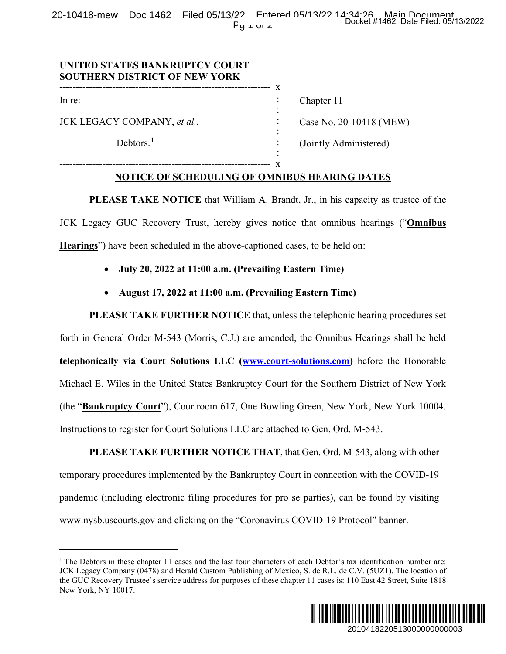20-10418-mew Doc 1462 Filed 05/13/22 Entered 05/13/20 14:34:26 Main Document  $Fy \perp w \leq 2$ 

> : : : : : :

## **UNITED STATES BANKRUPTCY COURT SOUTHERN DISTRICT OF NEW YORK**

**----------------------------------------------------------------** x

**----------------------------------------------------------------** x

In re:

JCK LEGACY COMPANY, *et al.*,

Debtors.<sup>1</sup>

Chapter 11

Case No. 20-10418 (MEW)

(Jointly Administered)

## **NOTICE OF SCHEDULING OF OMNIBUS HEARING DATES**

**PLEASE TAKE NOTICE** that William A. Brandt, Jr., in his capacity as trustee of the JCK Legacy GUC Recovery Trust, hereby gives notice that omnibus hearings ("**Omnibus Hearings**") have been scheduled in the above-captioned cases, to be held on:

- **July 20, 2022 at 11:00 a.m. (Prevailing Eastern Time)**
- **August 17, 2022 at 11:00 a.m. (Prevailing Eastern Time)**

**PLEASE TAKE FURTHER NOTICE** that, unless the telephonic hearing procedures set forth in General Order M-543 (Morris, C.J.) are amended, the Omnibus Hearings shall be held **telephonically via Court Solutions LLC (www.court-solutions.com)** before the Honorable Michael E. Wiles in the United States Bankruptcy Court for the Southern District of New York (the "**Bankruptcy Court**"), Courtroom 617, One Bowling Green, New York, New York 10004. Instructions to register for Court Solutions LLC are attached to Gen. Ord. M-543. 2010418220513000000000003 Docket #1462 Date Filed: 05/13/2022

**PLEASE TAKE FURTHER NOTICE THAT**, that Gen. Ord. M-543, along with other temporary procedures implemented by the Bankruptcy Court in connection with the COVID-19 pandemic (including electronic filing procedures for pro se parties), can be found by visiting www.nysb.uscourts.gov and clicking on the "Coronavirus COVID-19 Protocol" banner.

<sup>&</sup>lt;sup>1</sup> The Debtors in these chapter 11 cases and the last four characters of each Debtor's tax identification number are: JCK Legacy Company (0478) and Herald Custom Publishing of Mexico, S. de R.L. de C.V. (5UZ1). The location of the GUC Recovery Trustee's service address for purposes of these chapter 11 cases is: 110 East 42 Street, Suite 1818 New York, NY 10017.